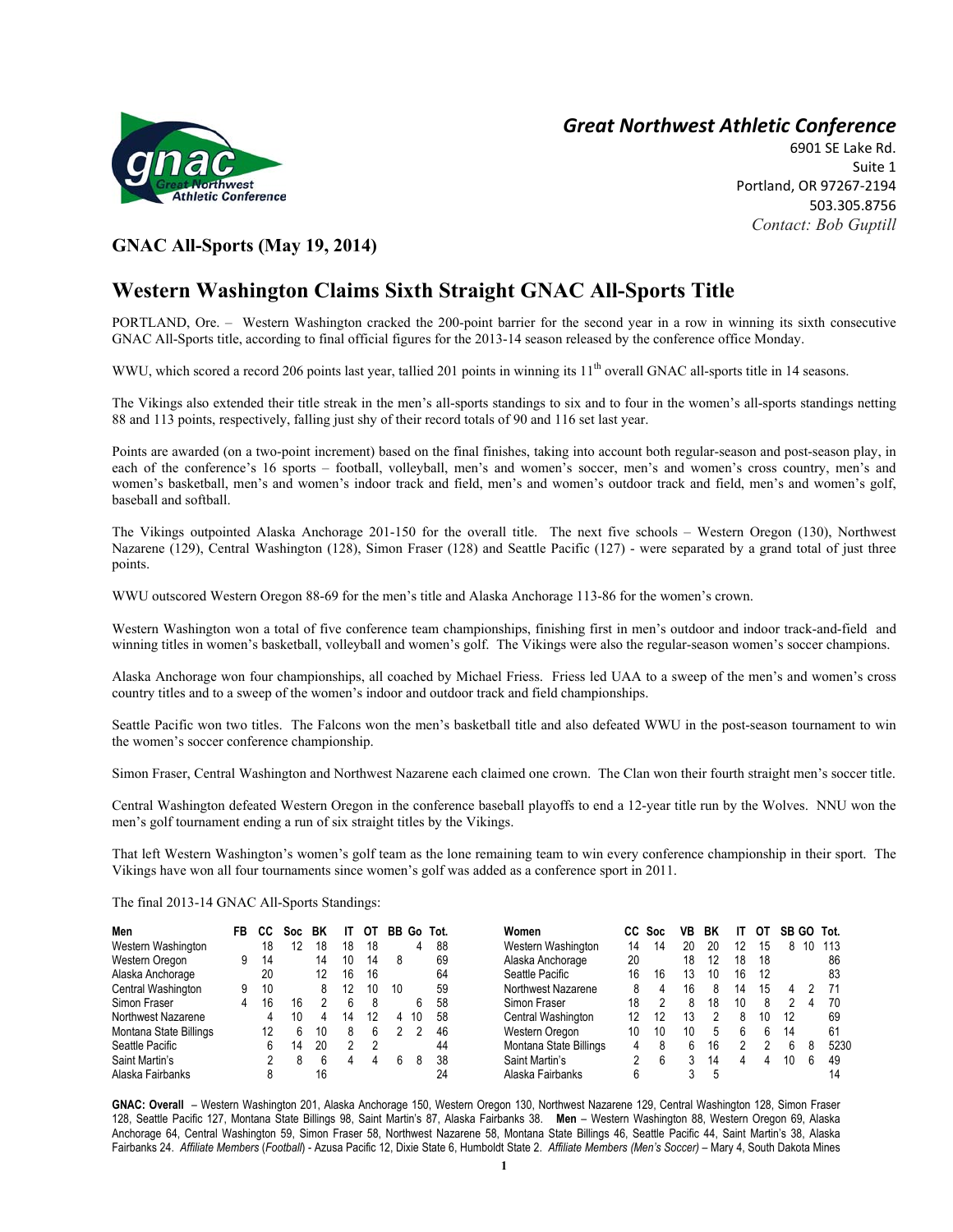

## *Great Northwest Athletic Conference*

6901 SE Lake Rd. Suite 1 Portland, OR 97267-2194 503.305.8756 *Contact: Bob Guptill* 

## **GNAC All-Sports (May 19, 2014)**

## **Western Washington Claims Sixth Straight GNAC All-Sports Title**

PORTLAND, Ore. – Western Washington cracked the 200-point barrier for the second year in a row in winning its sixth consecutive GNAC All-Sports title, according to final official figures for the 2013-14 season released by the conference office Monday.

WWU, which scored a record 206 points last year, tallied 201 points in winning its 11<sup>th</sup> overall GNAC all-sports title in 14 seasons.

The Vikings also extended their title streak in the men's all-sports standings to six and to four in the women's all-sports standings netting 88 and 113 points, respectively, falling just shy of their record totals of 90 and 116 set last year.

Points are awarded (on a two-point increment) based on the final finishes, taking into account both regular-season and post-season play, in each of the conference's 16 sports – football, volleyball, men's and women's soccer, men's and women's cross country, men's and women's basketball, men's and women's indoor track and field, men's and women's outdoor track and field, men's and women's golf, baseball and softball.

The Vikings outpointed Alaska Anchorage 201-150 for the overall title. The next five schools – Western Oregon (130), Northwest Nazarene (129), Central Washington (128), Simon Fraser (128) and Seattle Pacific (127) - were separated by a grand total of just three points.

WWU outscored Western Oregon 88-69 for the men's title and Alaska Anchorage 113-86 for the women's crown.

Western Washington won a total of five conference team championships, finishing first in men's outdoor and indoor track-and-field and winning titles in women's basketball, volleyball and women's golf. The Vikings were also the regular-season women's soccer champions.

Alaska Anchorage won four championships, all coached by Michael Friess. Friess led UAA to a sweep of the men's and women's cross country titles and to a sweep of the women's indoor and outdoor track and field championships.

Seattle Pacific won two titles. The Falcons won the men's basketball title and also defeated WWU in the post-season tournament to win the women's soccer conference championship.

Simon Fraser, Central Washington and Northwest Nazarene each claimed one crown. The Clan won their fourth straight men's soccer title.

Central Washington defeated Western Oregon in the conference baseball playoffs to end a 12-year title run by the Wolves. NNU won the men's golf tournament ending a run of six straight titles by the Vikings.

That left Western Washington's women's golf team as the lone remaining team to win every conference championship in their sport. The Vikings have won all four tournaments since women's golf was added as a conference sport in 2011.

The final 2013-14 GNAC All-Sports Standings:

| Men                    | FB | CC | Soc: | BK |    | ОT | BB | Go | Tot. | Women                  | CC | Soc | VB | ВK |    | O1 | SB | GO. | Tot. |
|------------------------|----|----|------|----|----|----|----|----|------|------------------------|----|-----|----|----|----|----|----|-----|------|
| Western Washington     |    | 18 |      | 18 | 18 | 18 |    | 4  | 88   | Western Washington     | 14 | 14  | 20 | 20 | 12 | 15 | 8  |     | 113  |
| Western Oregon         |    | 14 |      | 14 | 10 | 14 | 8  |    | 69   | Alaska Anchorage       | 20 |     | 18 | 12 | 18 | 18 |    |     | 86   |
| Alaska Anchorage       |    | 20 |      | 12 | 16 | 16 |    |    | 64   | Seattle Pacific        | 16 | 16  | 13 | 10 | 16 | 12 |    |     | 83   |
| Central Washington     |    | 10 |      |    |    | 10 | 10 |    | 59   | Northwest Nazarene     |    | 4   | 16 | 8  | 14 | 15 | Δ  |     |      |
| Simon Fraser           | 4  | 16 | 16   |    |    | 8  |    | 6. | 58   | Simon Fraser           | 18 |     | 8  | 18 | 10 | 8  |    | Д   | 70   |
| Northwest Nazarene     |    |    |      |    | 14 | 12 | 4  | 10 | 58   | Central Washington     | 12 | 12  | 13 |    | 8  |    | 12 |     | 69   |
| Montana State Billings |    | 12 | h    | 10 | 8  | 6  |    |    | 46   | Western Oregon         | 10 | 10  | 10 |    |    |    | 14 |     | 61   |
| Seattle Pacific        |    | 6  | 14   | 20 | າ  | າ  |    |    | 44   | Montana State Billings | 4  | 8   | 6  | 16 |    |    | h  | 8   | 5230 |
| Saint Martin's         |    |    |      | h  |    |    | 6  | 8  | 38   | Saint Martin's         |    | 6   |    | 14 | 4  | 4  | 10 | 6   | 49   |
| Alaska Fairbanks       |    |    |      | 16 |    |    |    |    | 24   | Alaska Fairbanks       |    |     |    |    |    |    |    |     |      |

**GNAC: Overall** – Western Washington 201, Alaska Anchorage 150, Western Oregon 130, Northwest Nazarene 129, Central Washington 128, Simon Fraser 128, Seattle Pacific 127, Montana State Billings 98, Saint Martin's 87, Alaska Fairbanks 38. **Men** – Western Washington 88, Western Oregon 69, Alaska Anchorage 64, Central Washington 59, Simon Fraser 58, Northwest Nazarene 58, Montana State Billings 46, Seattle Pacific 44, Saint Martin's 38, Alaska Fairbanks 24. *Affiliate Members* (*Football*) - Azusa Pacific 12, Dixie State 6, Humboldt State 2. *Affiliate Members (Men's Soccer)* – Mary 4, South Dakota Mines